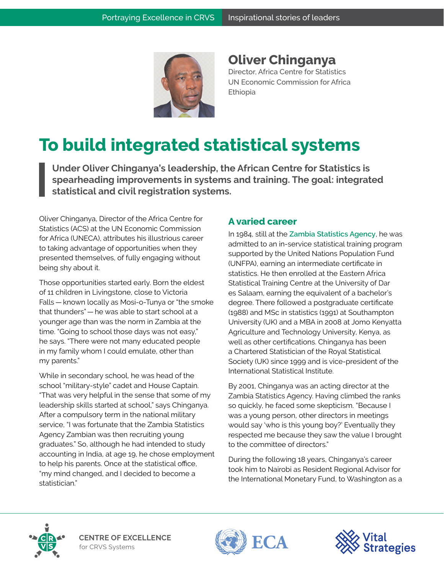

**Oliver Chinganya**  Director, Africa Centre for Statistics UN Economic Commission for Africa Ethiopia

## **To build integrated statistical systems**

**Under Oliver Chinganya's leadership, the African Centre for Statistics is spearheading improvements in systems and training. The goal: integrated statistical and civil registration systems.**

Oliver Chinganya, Director of the Africa Centre for Statistics (ACS) at the UN Economic Commission for Africa (UNECA), attributes his illustrious career to taking advantage of opportunities when they presented themselves, of fully engaging without being shy about it.

Those opportunities started early. Born the eldest of 11 children in Livingstone, close to Victoria Falls — known locally as Mosi-o-Tunya or "the smoke that thunders" — he was able to start school at a younger age than was the norm in Zambia at the time. "Going to school those days was not easy," he says. "There were not many educated people in my family whom I could emulate, other than my parents."

While in secondary school, he was head of the school "military-style" cadet and House Captain. "That was very helpful in the sense that some of my leadership skills started at school," says Chinganya. After a compulsory term in the national military service, "I was fortunate that the Zambia Statistics Agency Zambian was then recruiting young graduates." So, although he had intended to study accounting in India, at age 19, he chose employment to help his parents. Once at the statistical office, "my mind changed, and I decided to become a statistician."

## **A varied career**

In 1984, still at the **[Zambia Statistics Agency](https://www.zamstats.gov.zm/)**, he was admitted to an in-service statistical training program supported by the United Nations Population Fund (UNFPA), earning an intermediate certificate in statistics. He then enrolled at the Eastern Africa Statistical Training Centre at the University of Dar es Salaam, earning the equivalent of a bachelor's degree. There followed a postgraduate certificate (1988) and MSc in statistics (1991) at Southampton University (UK) and a MBA in 2008 at Jomo Kenyatta Agriculture and Technology University, Kenya, as well as other certifications. Chinganya has been a Chartered Statistician of the Royal Statistical Society (UK) since 1999 and is vice-president of the International Statistical Institute.

By 2001, Chinganya was an acting director at the Zambia Statistics Agency. Having climbed the ranks so quickly, he faced some skepticism. "Because I was a young person, other directors in meetings would say 'who is this young boy?' Eventually they respected me because they saw the value I brought to the committee of directors."

During the following 18 years, Chinganya's career took him to Nairobi as Resident Regional Advisor for the International Monetary Fund, to Washington as a